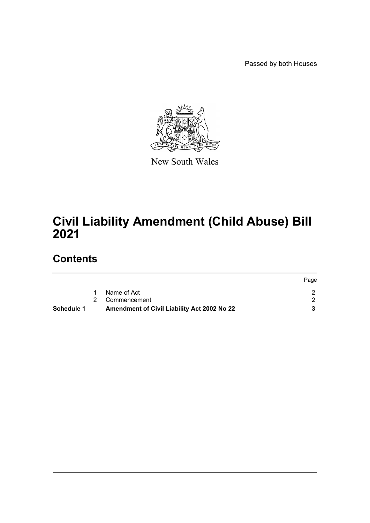Passed by both Houses



New South Wales

# **Civil Liability Amendment (Child Abuse) Bill 2021**

## **Contents**

| Page |
|------|
|      |
|      |
|      |
|      |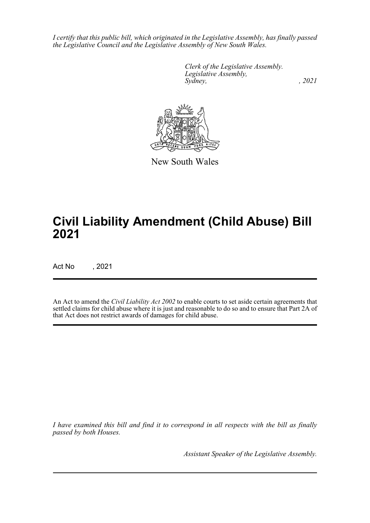*I certify that this public bill, which originated in the Legislative Assembly, has finally passed the Legislative Council and the Legislative Assembly of New South Wales.*

> *Clerk of the Legislative Assembly. Legislative Assembly, Sydney, , 2021*



New South Wales

# **Civil Liability Amendment (Child Abuse) Bill 2021**

Act No , 2021

An Act to amend the *Civil Liability Act 2002* to enable courts to set aside certain agreements that settled claims for child abuse where it is just and reasonable to do so and to ensure that Part 2A of that Act does not restrict awards of damages for child abuse.

*I have examined this bill and find it to correspond in all respects with the bill as finally passed by both Houses.*

*Assistant Speaker of the Legislative Assembly.*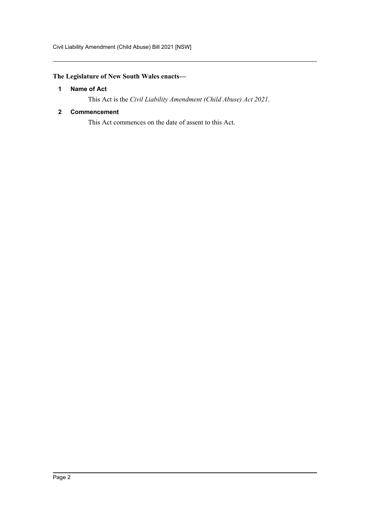### <span id="page-2-0"></span>**The Legislature of New South Wales enacts—**

#### **1 Name of Act**

This Act is the *Civil Liability Amendment (Child Abuse) Act 2021*.

#### <span id="page-2-1"></span>**2 Commencement**

This Act commences on the date of assent to this Act.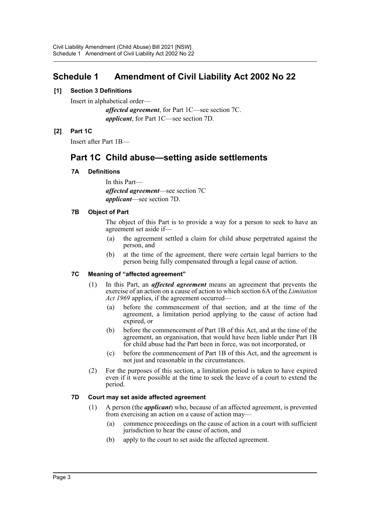### <span id="page-3-0"></span>**Schedule 1 Amendment of Civil Liability Act 2002 No 22**

#### **[1] Section 3 Definitions**

Insert in alphabetical order—

*affected agreement*, for Part 1C—see section 7C. *applicant*, for Part 1C—see section 7D.

#### **[2] Part 1C**

Insert after Part 1B—

## **Part 1C Child abuse—setting aside settlements**

#### **7A Definitions**

In this Part *affected agreement*—see section 7C *applicant*—see section 7D.

#### **7B Object of Part**

The object of this Part is to provide a way for a person to seek to have an agreement set aside if—

- (a) the agreement settled a claim for child abuse perpetrated against the person, and
- (b) at the time of the agreement, there were certain legal barriers to the person being fully compensated through a legal cause of action.

#### **7C Meaning of "affected agreement"**

- (1) In this Part, an *affected agreement* means an agreement that prevents the exercise of an action on a cause of action to which section 6A of the *Limitation Act 1969* applies, if the agreement occurred—
	- (a) before the commencement of that section, and at the time of the agreement, a limitation period applying to the cause of action had expired, or
	- (b) before the commencement of Part 1B of this Act, and at the time of the agreement, an organisation, that would have been liable under Part 1B for child abuse had the Part been in force, was not incorporated, or
	- (c) before the commencement of Part 1B of this Act, and the agreement is not just and reasonable in the circumstances.
- (2) For the purposes of this section, a limitation period is taken to have expired even if it were possible at the time to seek the leave of a court to extend the period.

#### **7D Court may set aside affected agreement**

- (1) A person (the *applicant*) who, because of an affected agreement, is prevented from exercising an action on a cause of action may—
	- (a) commence proceedings on the cause of action in a court with sufficient jurisdiction to hear the cause of action, and
	- (b) apply to the court to set aside the affected agreement.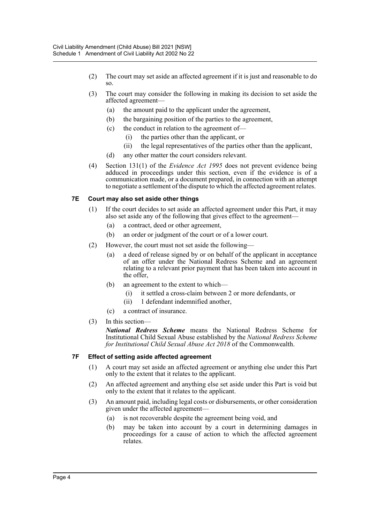- (2) The court may set aside an affected agreement if it is just and reasonable to do so.
- (3) The court may consider the following in making its decision to set aside the affected agreement—
	- (a) the amount paid to the applicant under the agreement,
	- (b) the bargaining position of the parties to the agreement,
	- (c) the conduct in relation to the agreement of—
		- (i) the parties other than the applicant, or
		- (ii) the legal representatives of the parties other than the applicant,
	- (d) any other matter the court considers relevant.
- (4) Section 131(1) of the *Evidence Act 1995* does not prevent evidence being adduced in proceedings under this section, even if the evidence is of a communication made, or a document prepared, in connection with an attempt to negotiate a settlement of the dispute to which the affected agreement relates.

#### **7E Court may also set aside other things**

- (1) If the court decides to set aside an affected agreement under this Part, it may also set aside any of the following that gives effect to the agreement—
	- (a) a contract, deed or other agreement,
	- (b) an order or judgment of the court or of a lower court.
- (2) However, the court must not set aside the following—
	- (a) a deed of release signed by or on behalf of the applicant in acceptance of an offer under the National Redress Scheme and an agreement relating to a relevant prior payment that has been taken into account in the offer,
	- (b) an agreement to the extent to which—
		- (i) it settled a cross-claim between 2 or more defendants, or
		- (ii) 1 defendant indemnified another,
	- (c) a contract of insurance.
- (3) In this section—

*National Redress Scheme* means the National Redress Scheme for Institutional Child Sexual Abuse established by the *National Redress Scheme for Institutional Child Sexual Abuse Act 2018* of the Commonwealth.

#### **7F Effect of setting aside affected agreement**

- (1) A court may set aside an affected agreement or anything else under this Part only to the extent that it relates to the applicant.
- (2) An affected agreement and anything else set aside under this Part is void but only to the extent that it relates to the applicant.
- (3) An amount paid, including legal costs or disbursements, or other consideration given under the affected agreement—
	- (a) is not recoverable despite the agreement being void, and
	- (b) may be taken into account by a court in determining damages in proceedings for a cause of action to which the affected agreement relates.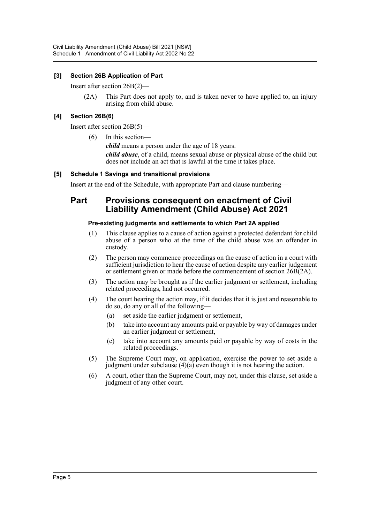#### **[3] Section 26B Application of Part**

Insert after section 26B(2)—

(2A) This Part does not apply to, and is taken never to have applied to, an injury arising from child abuse.

#### **[4] Section 26B(6)**

Insert after section 26B(5)—

(6) In this section—

*child* means a person under the age of 18 years.

*child abuse*, of a child, means sexual abuse or physical abuse of the child but does not include an act that is lawful at the time it takes place.

#### **[5] Schedule 1 Savings and transitional provisions**

Insert at the end of the Schedule, with appropriate Part and clause numbering—

### **Part Provisions consequent on enactment of Civil Liability Amendment (Child Abuse) Act 2021**

#### **Pre-existing judgments and settlements to which Part 2A applied**

- (1) This clause applies to a cause of action against a protected defendant for child abuse of a person who at the time of the child abuse was an offender in custody.
- (2) The person may commence proceedings on the cause of action in a court with sufficient jurisdiction to hear the cause of action despite any earlier judgement or settlement given or made before the commencement of section  $26B(2A)$ .
- (3) The action may be brought as if the earlier judgment or settlement, including related proceedings, had not occurred.
- (4) The court hearing the action may, if it decides that it is just and reasonable to do so, do any or all of the following—
	- (a) set aside the earlier judgment or settlement,
	- (b) take into account any amounts paid or payable by way of damages under an earlier judgment or settlement,
	- (c) take into account any amounts paid or payable by way of costs in the related proceedings.
- (5) The Supreme Court may, on application, exercise the power to set aside a judgment under subclause  $(4)(a)$  even though it is not hearing the action.
- (6) A court, other than the Supreme Court, may not, under this clause, set aside a judgment of any other court.